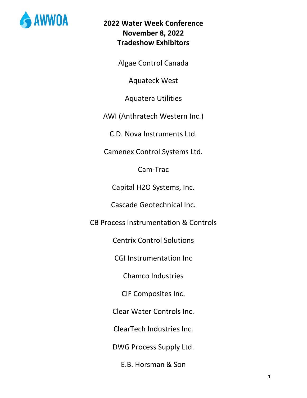

Algae Control Canada

Aquateck West

Aquatera Utilities

AWI (Anthratech Western Inc.)

C.D. Nova Instruments Ltd.

Camenex Control Systems Ltd.

Cam-Trac

Capital H2O Systems, Inc.

Cascade Geotechnical Inc.

CB Process Instrumentation & Controls

Centrix Control Solutions

CGI Instrumentation Inc

Chamco Industries

CIF Composites Inc.

Clear Water Controls Inc.

ClearTech Industries Inc.

DWG Process Supply Ltd.

E.B. Horsman & Son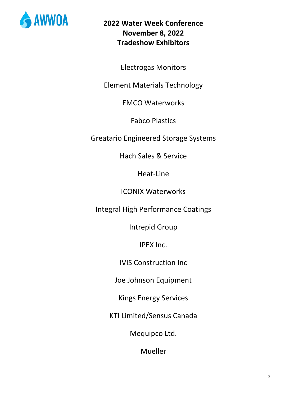

Electrogas Monitors

Element Materials Technology

EMCO Waterworks

Fabco Plastics

Greatario Engineered Storage Systems

Hach Sales & Service

Heat-Line

ICONIX Waterworks

Integral High Performance Coatings

Intrepid Group

IPEX Inc.

IVIS Construction Inc

Joe Johnson Equipment

Kings Energy Services

KTI Limited/Sensus Canada

Mequipco Ltd.

Mueller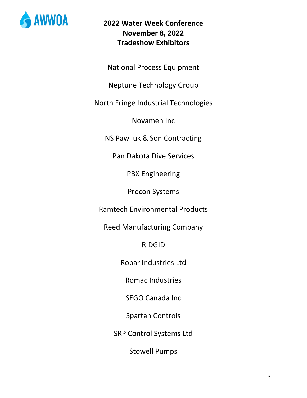

National Process Equipment

Neptune Technology Group

North Fringe Industrial Technologies

Novamen Inc

NS Pawliuk & Son Contracting

Pan Dakota Dive Services

PBX Engineering

Procon Systems

Ramtech Environmental Products

Reed Manufacturing Company

RIDGID

Robar Industries Ltd

Romac Industries

SEGO Canada Inc

Spartan Controls

SRP Control Systems Ltd

Stowell Pumps